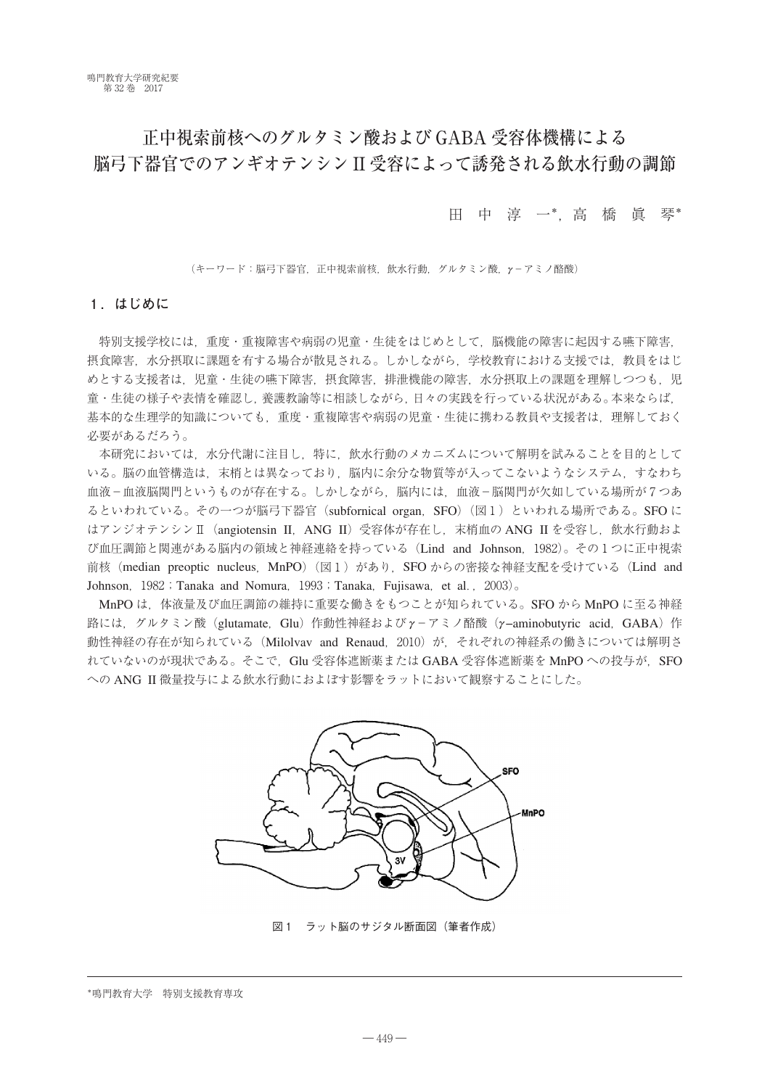# 正中視索前核へのグルタミン酸および GABA 受容体機構による 脳弓下器官でのアンギオテンシン II 受容によって誘発される飲水行動の調節

田中淳一\*,高 橋 眞 琴\*

(キーワード:脳弓下器官,正中視索前核,飲水行動,グルタミン酸,*γ*-アミノ酪酸)

# **1.はじめに**

特別支援学校には,重度・重複障害や病弱の児童・生徒をはじめとして,脳機能の障害に起因する嚥下障害, 摂食障害,水分摂取に課題を有する場合が散見される。しかしながら、学校教育における支援では、教員をはじ めとする支援者は、児童・生徒の嚥下障害、摂食障害、排泄機能の障害、水分摂取上の課題を理解しつつも、児 童・生徒の様子や表情を確認し,養護教諭等に相談しながら,日々の実践を行っている状況がある。本来ならば, 基本的な生理学的知識についても,重度・重複障害や病弱の児童・生徒に携わる教員や支援者は,理解しておく 必要があるだろう。

本研究においては,水分代謝に注目し,特に,飲水行動のメカニズムについて解明を試みることを目的として いる。脳の血管構造は、末梢とは異なっており、脳内に余分な物質等が入ってこないようなシステム,すなわち 血液-血液脳関門というものが存在する。しかしながら、脳内には、血液-脳関門が欠如している場所が7つあ るといわれている。その一つが脳弓下器官(subfornical organ, SFO)(図1)といわれる場所である。SFO に はアンジオテンシンⅡ(angiotensin II,ANG II)受容体が存在し,末梢血の ANG II を受容し,飲水行動およ び血圧調節と関連がある脳内の領域と神経連絡を持っている(Lind and Johnson,1982)。その1つに正中視索 前核 (median preoptic nucleus, MnPO) (図1) があり, SFO からの密接な神経支配を受けている (Lind and Johnson, 1982; Tanaka and Nomura, 1993; Tanaka, Fujisawa, et al., 2003)。

MnPO は、体液量及び血圧調節の維持に重要な働きをもつことが知られている。SFO から MnPO に至る神経 路には, グルタミン酸 (glutamate, Glu) 作動性神経および *γ*-アミノ酪酸 (γ-aminobutyric acid, GABA) 作 動性神経の存在が知られている (Milolvav and Renaud, 2010)が, それぞれの神経系の働きについては解明さ れていないのが現状である。そこで、Glu 受容体遮断薬または GABA 受容体遮断薬を MnPO への投与が、SFO への ANG II 微量投与による飲水行動におよぼす影響をラットにおいて観察することにした。



図1 ラット脳のサジタル断面図 (筆者作成)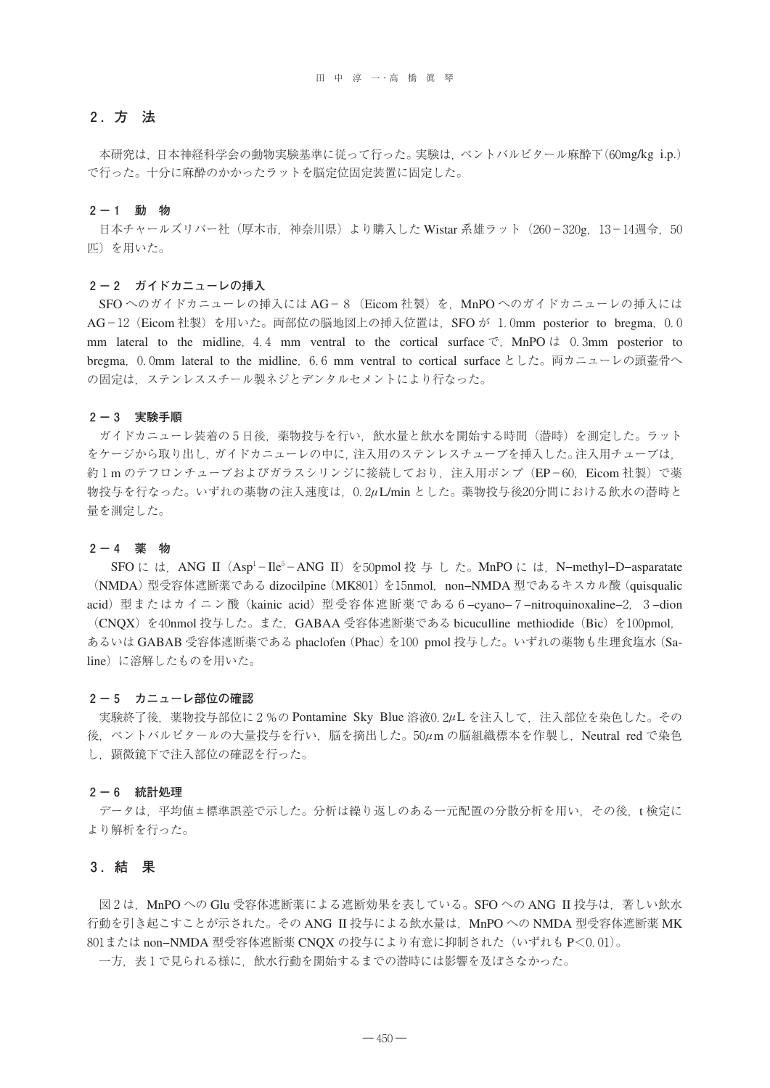# **2.方 法**

本研究は,日本神経科学会の動物実験基準に従って行った。実験は,ペントバルビタール麻酔下(60mg/kg i.p.) で行った。十分に麻酔のかかったラットを脳定位固定装置に固定した。

#### **2-1 動 物**

日本チャールズリバー社 (厚木市, 神奈川県) より購入した Wistar 系雄ラット (260-320g, 13-14週令, 50 匹)を用いた。

#### **2-2 ガイドカニューレの挿入**

SFOへのガイドカニューレの挿入には AG-8 (Eicom 社製)を, MnPOへのガイドカニューレの挿入には AG-12 (Eicom 社製) を用いた。両部位の脳地図上の挿入位置は, SFO が 1.0mm posterior to bregma, 0.0 mm lateral to the midline, 4.4 mm ventral to the cortical surface  $\mathfrak{S}$ . MnPO  $\mathfrak{t}$  0.3mm posterior to bregma, 0.0mm lateral to the midline, 6.6 mm ventral to cortical surface とした。両カニューレの頭蓋骨へ の固定は,ステンレススチール製ネジとデンタルセメントにより行なった。

#### **2-3 実験手順**

ガイドカニューレ装着の5日後,薬物投与を行い,飲水量と飲水を開始する時間(潜時)を測定した。ラット をケージから取り出し,ガイドカニューレの中に,注入用のステンレスチューブを挿入した。注入用チューブは, 約1mのテフロンチューブおよびガラスシリンジに接続しており、注入用ポンプ (EP-60, Eicom 社製) で薬 物投与を行なった。いずれの薬物の注入速度は,0.2*μ*L/min とした。薬物投与後20分間における飲水の潜時と 量を測定した。

#### **2-4 薬 物**

SFO に は,ANG II(Asp<sup>1</sup>−Ile<sup>5</sup>−ANG II)を50pmol 投 与 し た。MnPO に は,N−methyl−D−asparatate (NMDA)型受容体遮断薬である dizocilpine(MK801)を15nmol,non−NMDA 型であるキスカル酸(quisqualic acid)型またはカイニン酸(kainic acid)型受容体遮断薬である6−cyano−7−nitroquinoxaline−2,3−dion (CNQX) を40nmol 投与した。また, GABAA 受容体遮断薬である bicuculline methiodide (Bic) を100pmol, あるいは GABAB 受容体遮断薬である phaclofen (Phac) を100 pmol 投与した。いずれの薬物も生理食塩水 (Saline)に溶解したものを用いた。

#### **2-5 カニューレ部位の確認**

実験終了後,薬物投与部位に2%の Pontamine Sky Blue 溶液0.2*μ*L を注入して,注入部位を染色した。その 後,ペントバルピタールの大量投与を行い,脳を摘出した。50*μ*m の脳組織標本を作製し,Neutral red で染色 し,顕微鏡下で注入部位の確認を行った。

#### **2-6 統計処理**

データは,平均値±標準誤差で示した。分析は繰り返しのある一元配置の分散分析を用い,その後,t 検定に より解析を行った。

#### **3.結 果**

図2は、MnPOへの Glu 受容体遮断薬による遮断効果を表している。SFOへの ANG II 投与は、著しい飲水 行動を引き起こすことが示された。その ANG II 投与による飲水量は、MnPO への NMDA 型受容体遮断薬 MK 801または non−NMDA 型受容体遮断薬 CNQX の投与により有意に抑制された(いずれも P<0.01)。

一方,表1で見られる様に,飲水行動を開始するまでの潜時には影響を及ぼさなかった。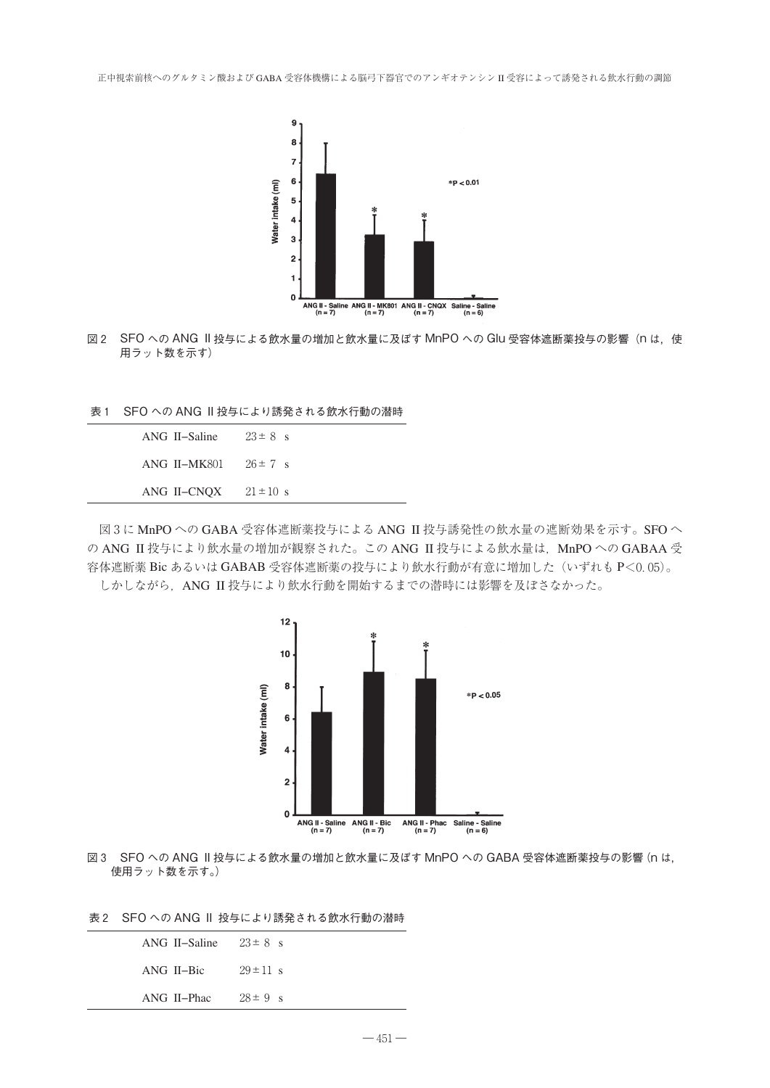

- 図2 SFOへの ANG Ⅱ 投与による飲水量の増加と飲水量に及ぼす MnPOへの Glu 受容体遮断薬投与の影響(n は,使 用ラット数を示す)
- 表1 SFO への ANG II 投与により誘発される飲水行動の潜時

| ANG II-Saline | $23 \pm 8$ s  |
|---------------|---------------|
| ANG II–MK801  | $26 \pm 7$ s  |
| ANG II-CNOX   | $21 \pm 10$ s |

図3に MnPO への GABA 受容体遮断薬投与による ANG II 投与誘発性の飲水量の遮断効果を示す。SFO へ の ANG II 投与により飲水量の増加が観察された。この ANG II 投与による飲水量は、MnPO への GABAA 受 容体遮断薬 Bic あるいは GABAB 受容体遮断薬の投与により飲水行動が有意に増加した(いずれも P<0.05)。 しかしながら,ANG II 投与により飲水行動を開始するまでの潜時には影響を及ぼさなかった。



図3 SFO への ANG II 投与による飲水量の増加と飲水量に及ぼす MnPO への GABA 受容体遮断薬投与の影響(n は, 使用ラット数を示す。)

表2 SFO への ANG II 投与により誘発される飲水行動の潜時

| ANG II–Phac   | $28 \pm 9$ s  |
|---------------|---------------|
| ANG II–Bic    | $29 \pm 11$ s |
| ANG II–Saline | $23 \pm 8$ s  |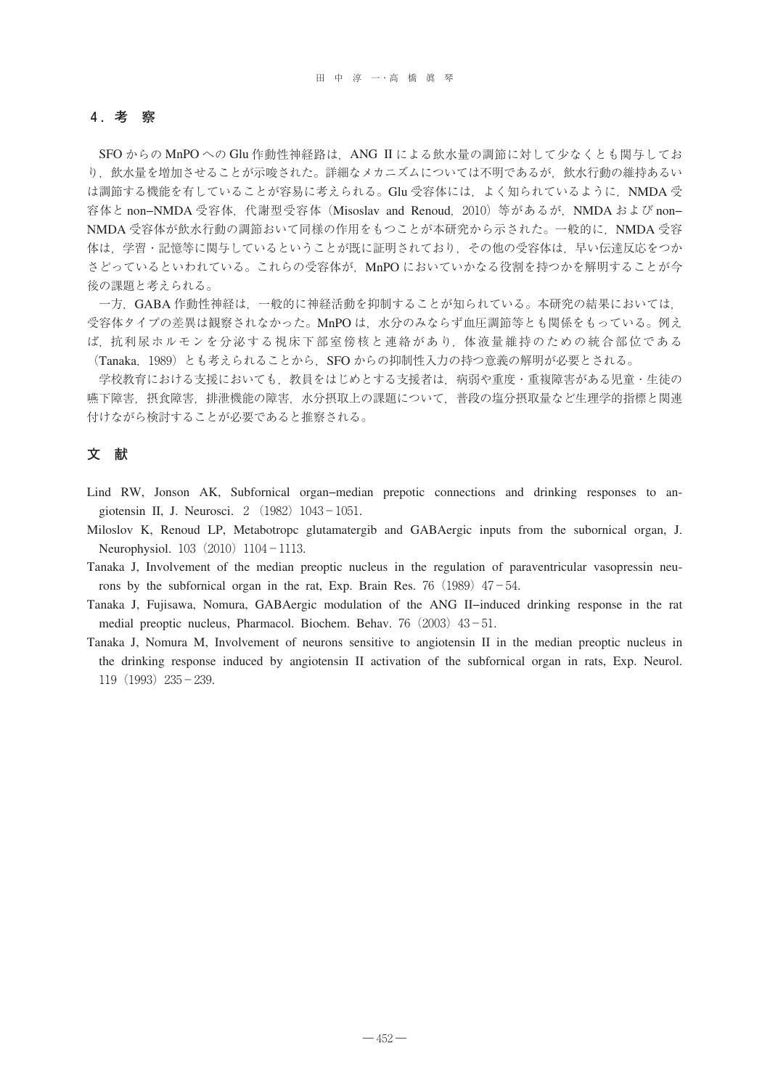# **4.考 察**

SFO からの MnPO への Glu 作動性神経路は,ANG II による飲水量の調節に対して少なくとも関与してお り、飲水量を増加させることが示唆された。詳細なメカニズムについては不明であるが、飲水行動の維持あるい は調節する機能を有していることが容易に考えられる。Glu 受容体には、よく知られているように,NMDA 受 容体と non-NMDA 受容体, 代謝型受容体 (Misoslav and Renoud, 2010) 等があるが, NMDA および non-NMDA 受容体が飲水行動の調節おいて同様の作用をもつことが本研究から示された。一般的に、NMDA 受容 体は,学習・記憶等に関与しているということが既に証明されており,その他の受容体は,早い伝達反応をつか さどっているといわれている。これらの受容体が、MnPO においていかなる役割を持つかを解明することが今 後の課題と考えられる。

一方,GABA 作動性神経は,一般的に神経活動を抑制することが知られている。本研究の結果においては, 受容体タイプの差異は観察されなかった。MnPO は、水分のみならず血圧調節等とも関係をもっている。例え ば,抗利尿ホルモンを分泌する視床下部室傍核と連絡があり,体液量維持のための統合部位である (Tanaka, 1989)とも考えられることから、SFO からの抑制性入力の持つ意義の解明が必要とされる。

学校教育における支援においても,教員をはじめとする支援者は,病弱や重度・重複障害がある児童・生徒の 嚥下障害,摂食障害,排泄機能の障害,水分摂取上の課題について,普段の塩分摂取量など生理学的指標と関連 付けながら検討することが必要であると推察される。

# **文 献**

Lind RW, Jonson AK, Subfornical organ−median prepotic connections and drinking responses to angiotensin II, J. Neurosci. 2  $(1982)$  1043-1051.

Miloslov K, Renoud LP, Metabotropc glutamatergib and GABAergic inputs from the subornical organ, J. Neurophysiol. 103 (2010) 1104-1113.

Tanaka J, Involvement of the median preoptic nucleus in the regulation of paraventricular vasopressin neurons by the subfornical organ in the rat, Exp. Brain Res. 76 (1989)  $47-54$ .

Tanaka J, Fujisawa, Nomura, GABAergic modulation of the ANG II−induced drinking response in the rat medial preoptic nucleus, Pharmacol. Biochem. Behav. 76 (2003) 43-51.

Tanaka J, Nomura M, Involvement of neurons sensitive to angiotensin II in the median preoptic nucleus in the drinking response induced by angiotensin II activation of the subfornical organ in rats, Exp. Neurol. 119(1993)235-239.